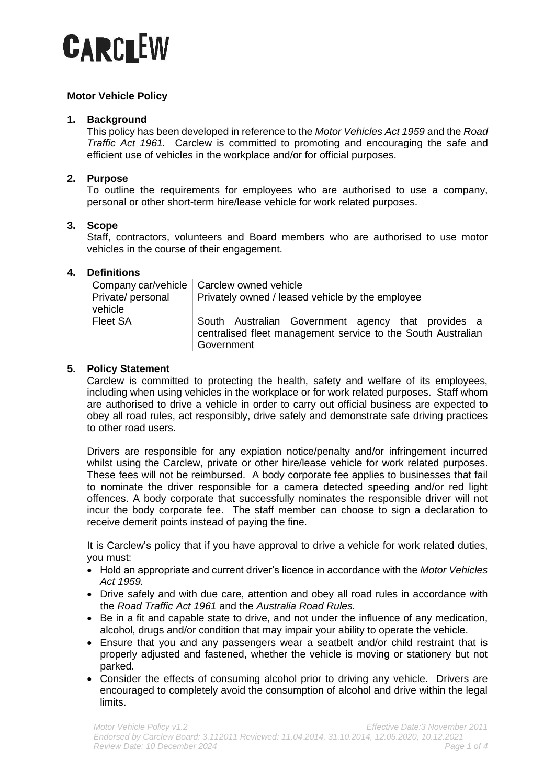

# **Motor Vehicle Policy**

### **1. Background**

This policy has been developed in reference to the *Motor Vehicles Act 1959* and the *Road Traffic Act 1961.* Carclew is committed to promoting and encouraging the safe and efficient use of vehicles in the workplace and/or for official purposes.

## **2. Purpose**

To outline the requirements for employees who are authorised to use a company, personal or other short-term hire/lease vehicle for work related purposes.

### **3. Scope**

Staff, contractors, volunteers and Board members who are authorised to use motor vehicles in the course of their engagement.

### **4. Definitions**

|                              | Company car/vehicle   Carclew owned vehicle                                                                                      |
|------------------------------|----------------------------------------------------------------------------------------------------------------------------------|
| Private/ personal<br>vehicle | Privately owned / leased vehicle by the employee                                                                                 |
| <b>Fleet SA</b>              | South Australian Government agency that provides a<br>centralised fleet management service to the South Australian<br>Government |

### **5. Policy Statement**

Carclew is committed to protecting the health, safety and welfare of its employees, including when using vehicles in the workplace or for work related purposes. Staff whom are authorised to drive a vehicle in order to carry out official business are expected to obey all road rules, act responsibly, drive safely and demonstrate safe driving practices to other road users.

Drivers are responsible for any expiation notice/penalty and/or infringement incurred whilst using the Carclew, private or other hire/lease vehicle for work related purposes. These fees will not be reimbursed. A body corporate fee applies to businesses that fail to nominate the driver responsible for a camera detected speeding and/or red light offences. A body corporate that successfully nominates the responsible driver will not incur the body corporate fee. The staff member can choose to sign a declaration to receive demerit points instead of paying the fine.

It is Carclew's policy that if you have approval to drive a vehicle for work related duties, you must:

- Hold an appropriate and current driver's licence in accordance with the *Motor Vehicles Act 1959.*
- Drive safely and with due care, attention and obey all road rules in accordance with the *Road Traffic Act 1961* and the *Australia Road Rules.*
- Be in a fit and capable state to drive, and not under the influence of any medication, alcohol, drugs and/or condition that may impair your ability to operate the vehicle.
- Ensure that you and any passengers wear a seatbelt and/or child restraint that is properly adjusted and fastened, whether the vehicle is moving or stationery but not parked.
- Consider the effects of consuming alcohol prior to driving any vehicle. Drivers are encouraged to completely avoid the consumption of alcohol and drive within the legal limits.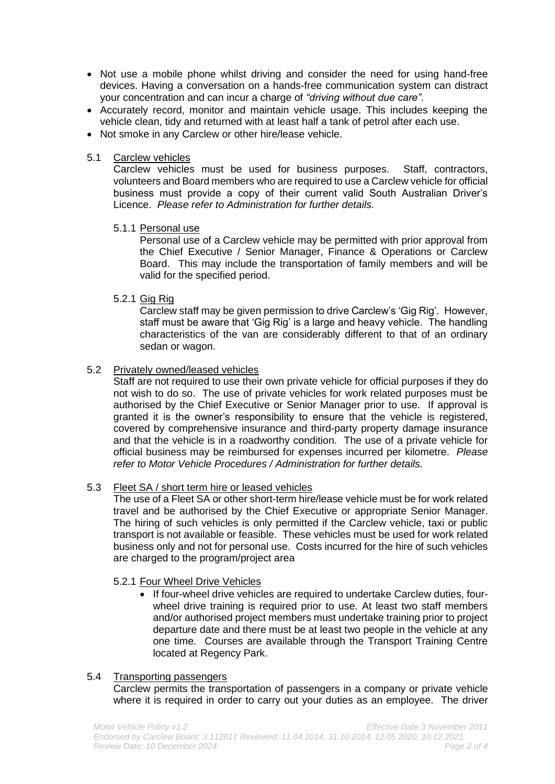- Not use a mobile phone whilst driving and consider the need for using hand-free devices. Having a conversation on a hands-free communication system can distract your concentration and can incur a charge of *"driving without due care"*.
- Accurately record, monitor and maintain vehicle usage. This includes keeping the vehicle clean, tidy and returned with at least half a tank of petrol after each use.
- Not smoke in any Carclew or other hire/lease vehicle.

## 5.1 Carclew vehicles

Carclew vehicles must be used for business purposes. Staff, contractors, volunteers and Board members who are required to use a Carclew vehicle for official business must provide a copy of their current valid South Australian Driver's Licence. *Please refer to Administration for further details.*

# 5.1.1 Personal use

Personal use of a Carclew vehicle may be permitted with prior approval from the Chief Executive / Senior Manager, Finance & Operations or Carclew Board. This may include the transportation of family members and will be valid for the specified period.

# 5.2.1 Gig Rig

Carclew staff may be given permission to drive Carclew's 'Gig Rig'. However, staff must be aware that 'Gig Rig' is a large and heavy vehicle. The handling characteristics of the van are considerably different to that of an ordinary sedan or wagon.

# 5.2 Privately owned/leased vehicles

Staff are not required to use their own private vehicle for official purposes if they do not wish to do so. The use of private vehicles for work related purposes must be authorised by the Chief Executive or Senior Manager prior to use. If approval is granted it is the owner's responsibility to ensure that the vehicle is registered, covered by comprehensive insurance and third-party property damage insurance and that the vehicle is in a roadworthy condition. The use of a private vehicle for official business may be reimbursed for expenses incurred per kilometre. *Please refer to Motor Vehicle Procedures / Administration for further details.*

# 5.3 Fleet SA / short term hire or leased vehicles

The use of a Fleet SA or other short-term hire/lease vehicle must be for work related travel and be authorised by the Chief Executive or appropriate Senior Manager. The hiring of such vehicles is only permitted if the Carclew vehicle, taxi or public transport is not available or feasible. These vehicles must be used for work related business only and not for personal use. Costs incurred for the hire of such vehicles are charged to the program/project area

### 5.2.1 Four Wheel Drive Vehicles

If four-wheel drive vehicles are required to undertake Carclew duties, fourwheel drive training is required prior to use. At least two staff members and/or authorised project members must undertake training prior to project departure date and there must be at least two people in the vehicle at any one time. Courses are available through the Transport Training Centre located at Regency Park.

### 5.4 Transporting passengers

Carclew permits the transportation of passengers in a company or private vehicle where it is required in order to carry out your duties as an employee. The driver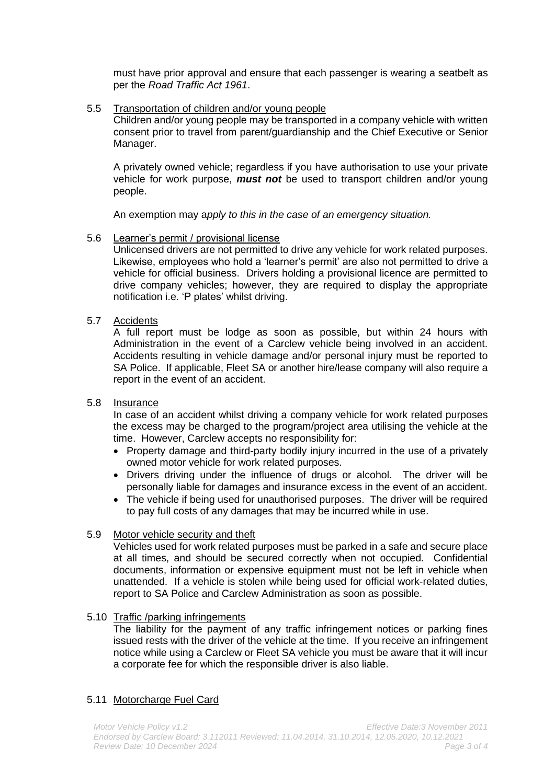must have prior approval and ensure that each passenger is wearing a seatbelt as per the *Road Traffic Act 1961*.

### 5.5 Transportation of children and/or young people

Children and/or young people may be transported in a company vehicle with written consent prior to travel from parent/guardianship and the Chief Executive or Senior Manager.

A privately owned vehicle; regardless if you have authorisation to use your private vehicle for work purpose, *must not* be used to transport children and/or young people.

An exemption may a*pply to this in the case of an emergency situation.*

### 5.6 Learner's permit / provisional license

Unlicensed drivers are not permitted to drive any vehicle for work related purposes. Likewise, employees who hold a 'learner's permit' are also not permitted to drive a vehicle for official business. Drivers holding a provisional licence are permitted to drive company vehicles; however, they are required to display the appropriate notification i.e. 'P plates' whilst driving.

### 5.7 Accidents

A full report must be lodge as soon as possible, but within 24 hours with Administration in the event of a Carclew vehicle being involved in an accident. Accidents resulting in vehicle damage and/or personal injury must be reported to SA Police. If applicable, Fleet SA or another hire/lease company will also require a report in the event of an accident.

#### 5.8 Insurance

In case of an accident whilst driving a company vehicle for work related purposes the excess may be charged to the program/project area utilising the vehicle at the time. However, Carclew accepts no responsibility for:

- Property damage and third-party bodily injury incurred in the use of a privately owned motor vehicle for work related purposes.
- Drivers driving under the influence of drugs or alcohol. The driver will be personally liable for damages and insurance excess in the event of an accident.
- The vehicle if being used for unauthorised purposes. The driver will be required to pay full costs of any damages that may be incurred while in use.

### 5.9 Motor vehicle security and theft

Vehicles used for work related purposes must be parked in a safe and secure place at all times, and should be secured correctly when not occupied. Confidential documents, information or expensive equipment must not be left in vehicle when unattended. If a vehicle is stolen while being used for official work-related duties, report to SA Police and Carclew Administration as soon as possible.

### 5.10 Traffic /parking infringements

The liability for the payment of any traffic infringement notices or parking fines issued rests with the driver of the vehicle at the time. If you receive an infringement notice while using a Carclew or Fleet SA vehicle you must be aware that it will incur a corporate fee for which the responsible driver is also liable.

### 5.11 Motorcharge Fuel Card